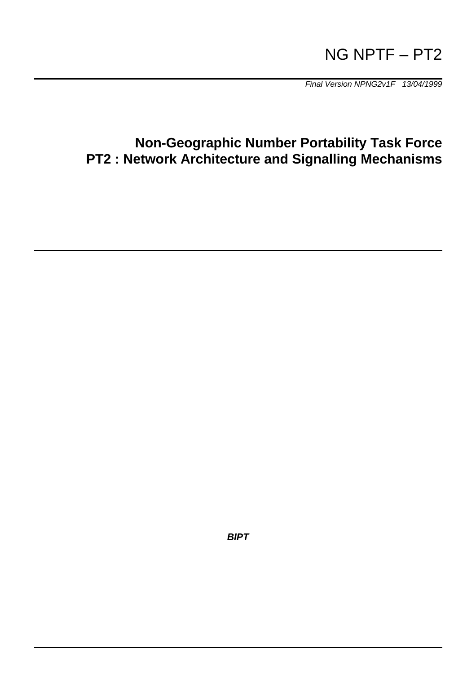# NG NPTF – PT2

*Final Version NPNG2v1F 13/04/1999*

# **Non-Geographic Number Portability Task Force PT2 : Network Architecture and Signalling Mechanisms**

*BIPT*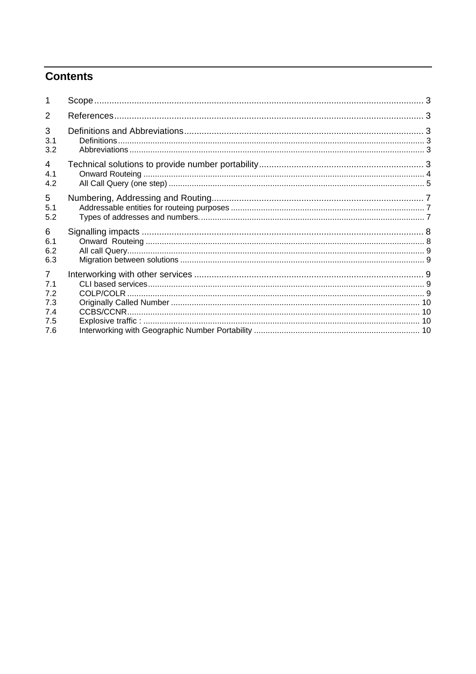# **Contents**

| 2                                                       |  |
|---------------------------------------------------------|--|
| 3<br>$\overline{3}1$<br>3.2                             |  |
| 4<br>4.1<br>4.2                                         |  |
| 5<br>5.1<br>5.2                                         |  |
| 6<br>6.1<br>6.2<br>6.3                                  |  |
| $\overline{7}$<br>71<br>7.2<br>7.3<br>7.4<br>7.5<br>7.6 |  |
|                                                         |  |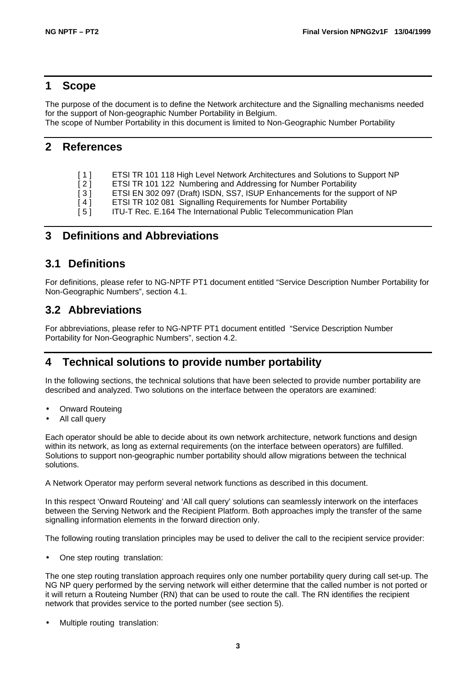## **1 Scope**

The purpose of the document is to define the Network architecture and the Signalling mechanisms needed for the support of Non-geographic Number Portability in Belgium. The scope of Number Portability in this document is limited to Non-Geographic Number Portability

### **2 References**

- [1] ETSI TR 101 118 High Level Network Architectures and Solutions to Support NP
- [2] ETSI TR 101 122 Numbering and Addressing for Number Portability
- [3] ETSI EN 302 097 (Draft) ISDN, SS7, ISUP Enhancements for the support of NP [4] ETSI TR 102 081 Signalling Requirements for Number Portability
- ETSI TR 102 081 Signalling Requirements for Number Portability
- [ 5 ] ITU-T Rec. E.164 The International Public Telecommunication Plan

## **3 Definitions and Abbreviations**

## **3.1 Definitions**

For definitions, please refer to NG-NPTF PT1 document entitled "Service Description Number Portability for Non-Geographic Numbers", section 4.1.

## **3.2 Abbreviations**

For abbreviations, please refer to NG-NPTF PT1 document entitled "Service Description Number Portability for Non-Geographic Numbers", section 4.2.

### **4 Technical solutions to provide number portability**

In the following sections, the technical solutions that have been selected to provide number portability are described and analyzed. Two solutions on the interface between the operators are examined:

- Onward Routeing
- All call query

Each operator should be able to decide about its own network architecture, network functions and design within its network, as long as external requirements (on the interface between operators) are fulfilled. Solutions to support non-geographic number portability should allow migrations between the technical solutions.

A Network Operator may perform several network functions as described in this document.

In this respect 'Onward Routeing' and 'All call query' solutions can seamlessly interwork on the interfaces between the Serving Network and the Recipient Platform. Both approaches imply the transfer of the same signalling information elements in the forward direction only.

The following routing translation principles may be used to deliver the call to the recipient service provider:

One step routing translation:

The one step routing translation approach requires only one number portability query during call set-up. The NG NP query performed by the serving network will either determine that the called number is not ported or it will return a Routeing Number (RN) that can be used to route the call. The RN identifies the recipient network that provides service to the ported number (see section 5).

Multiple routing translation: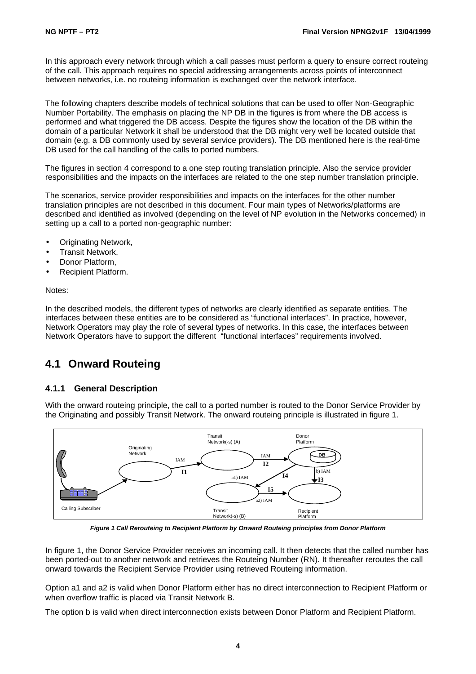In this approach every network through which a call passes must perform a query to ensure correct routeing of the call. This approach requires no special addressing arrangements across points of interconnect between networks, i.e. no routeing information is exchanged over the network interface.

The following chapters describe models of technical solutions that can be used to offer Non-Geographic Number Portability. The emphasis on placing the NP DB in the figures is from where the DB access is performed and what triggered the DB access. Despite the figures show the location of the DB within the domain of a particular Network it shall be understood that the DB might very well be located outside that domain (e.g. a DB commonly used by several service providers). The DB mentioned here is the real-time DB used for the call handling of the calls to ported numbers.

The figures in section 4 correspond to a one step routing translation principle. Also the service provider responsibilities and the impacts on the interfaces are related to the one step number translation principle.

The scenarios, service provider responsibilities and impacts on the interfaces for the other number translation principles are not described in this document. Four main types of Networks/platforms are described and identified as involved (depending on the level of NP evolution in the Networks concerned) in setting up a call to a ported non-geographic number:

- **Originating Network,**
- **Transit Network.**
- Donor Platform,
- Recipient Platform.

Notes:

In the described models, the different types of networks are clearly identified as separate entities. The interfaces between these entities are to be considered as "functional interfaces". In practice, however, Network Operators may play the role of several types of networks. In this case, the interfaces between Network Operators have to support the different "functional interfaces" requirements involved.

# **4.1 Onward Routeing**

#### **4.1.1 General Description**

With the onward routeing principle, the call to a ported number is routed to the Donor Service Provider by the Originating and possibly Transit Network. The onward routeing principle is illustrated in figure 1.



*Figure 1 Call Rerouteing to Recipient Platform by Onward Routeing principles from Donor Platform*

In figure 1, the Donor Service Provider receives an incoming call. It then detects that the called number has been ported-out to another network and retrieves the Routeing Number (RN). It thereafter reroutes the call onward towards the Recipient Service Provider using retrieved Routeing information.

Option a1 and a2 is valid when Donor Platform either has no direct interconnection to Recipient Platform or when overflow traffic is placed via Transit Network B.

The option b is valid when direct interconnection exists between Donor Platform and Recipient Platform.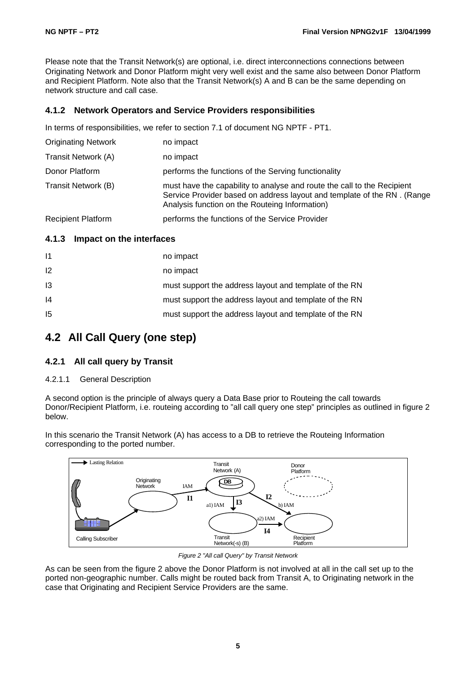Please note that the Transit Network(s) are optional, i.e. direct interconnections connections between Originating Network and Donor Platform might very well exist and the same also between Donor Platform and Recipient Platform. Note also that the Transit Network(s) A and B can be the same depending on network structure and call case.

#### **4.1.2 Network Operators and Service Providers responsibilities**

In terms of responsibilities, we refer to section 7.1 of document NG NPTF - PT1.

| <b>Originating Network</b> | no impact                                                                                                                                                                                            |
|----------------------------|------------------------------------------------------------------------------------------------------------------------------------------------------------------------------------------------------|
| Transit Network (A)        | no impact                                                                                                                                                                                            |
| Donor Platform             | performs the functions of the Serving functionality                                                                                                                                                  |
| Transit Network (B)        | must have the capability to analyse and route the call to the Recipient<br>Service Provider based on address layout and template of the RN. (Range<br>Analysis function on the Routeing Information) |
| <b>Recipient Platform</b>  | performs the functions of the Service Provider                                                                                                                                                       |

#### **4.1.3 Impact on the interfaces**

| $\overline{11}$ | no impact                                              |
|-----------------|--------------------------------------------------------|
| 12              | no impact                                              |
| 13              | must support the address layout and template of the RN |
| 14              | must support the address layout and template of the RN |
| 15              | must support the address layout and template of the RN |

# **4.2 All Call Query (one step)**

### **4.2.1 All call query by Transit**

4.2.1.1 General Description

A second option is the principle of always query a Data Base prior to Routeing the call towards Donor/Recipient Platform, i.e. routeing according to "all call query one step" principles as outlined in figure 2 below.

In this scenario the Transit Network (A) has access to a DB to retrieve the Routeing Information corresponding to the ported number.



*Figure 2 "All call Query" by Transit Network*

As can be seen from the figure 2 above the Donor Platform is not involved at all in the call set up to the ported non-geographic number. Calls might be routed back from Transit A, to Originating network in the case that Originating and Recipient Service Providers are the same.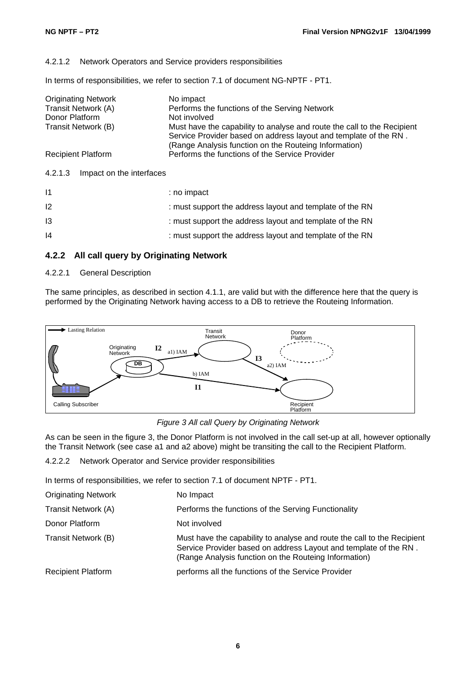#### 4.2.1.2 Network Operators and Service providers responsibilities

In terms of responsibilities, we refer to section 7.1 of document NG-NPTF - PT1.

| <b>Originating Network</b>          | No impact                                                                                                                                                                                            |
|-------------------------------------|------------------------------------------------------------------------------------------------------------------------------------------------------------------------------------------------------|
| Transit Network (A)                 | Performs the functions of the Serving Network                                                                                                                                                        |
| Donor Platform                      | Not involved                                                                                                                                                                                         |
| Transit Network (B)                 | Must have the capability to analyse and route the call to the Recipient<br>Service Provider based on address layout and template of the RN.<br>(Range Analysis function on the Routeing Information) |
| <b>Recipient Platform</b>           | Performs the functions of the Service Provider                                                                                                                                                       |
| Impact on the interfaces<br>4.2.1.3 |                                                                                                                                                                                                      |
| $\vert$ 1                           | : no impact                                                                                                                                                                                          |
| 12                                  | : must support the address layout and template of the RN                                                                                                                                             |
| $\mathsf{I}3$                       | : must support the address layout and template of the RN                                                                                                                                             |
| 4                                   | : must support the address layout and template of the RN                                                                                                                                             |

#### **4.2.2 All call query by Originating Network**

#### 4.2.2.1 General Description

The same principles, as described in section 4.1.1, are valid but with the difference here that the query is performed by the Originating Network having access to a DB to retrieve the Routeing Information.



*Figure 3 All call Query by Originating Network*

As can be seen in the figure 3, the Donor Platform is not involved in the call set-up at all, however optionally the Transit Network (see case a1 and a2 above) might be transiting the call to the Recipient Platform.

4.2.2.2 Network Operator and Service provider responsibilities

In terms of responsibilities, we refer to section 7.1 of document NPTF - PT1.

| <b>Originating Network</b> | No Impact                                                                                                                                                                                            |
|----------------------------|------------------------------------------------------------------------------------------------------------------------------------------------------------------------------------------------------|
| Transit Network (A)        | Performs the functions of the Serving Functionality                                                                                                                                                  |
| Donor Platform             | Not involved                                                                                                                                                                                         |
| Transit Network (B)        | Must have the capability to analyse and route the call to the Recipient<br>Service Provider based on address Layout and template of the RN.<br>(Range Analysis function on the Routeing Information) |
| <b>Recipient Platform</b>  | performs all the functions of the Service Provider                                                                                                                                                   |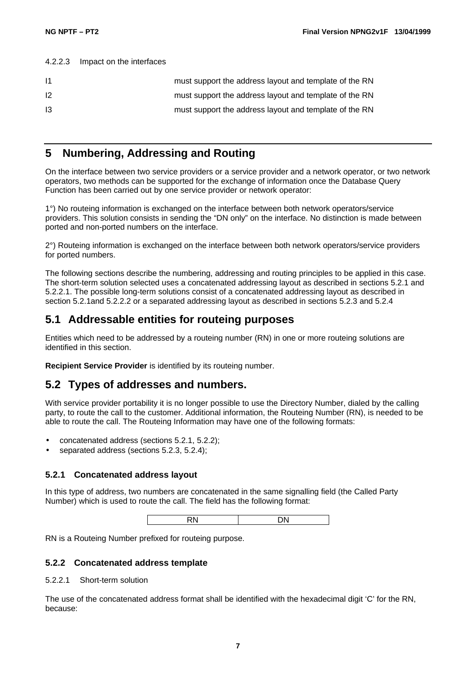4.2.2.3 Impact on the interfaces

| 11 | must support the address layout and template of the RN |
|----|--------------------------------------------------------|
| 12 | must support the address layout and template of the RN |
| 13 | must support the address layout and template of the RN |

### **5 Numbering, Addressing and Routing**

On the interface between two service providers or a service provider and a network operator, or two network operators, two methods can be supported for the exchange of information once the Database Query Function has been carried out by one service provider or network operator:

1°) No routeing information is exchanged on the interface between both network operators/service providers. This solution consists in sending the "DN only" on the interface. No distinction is made between ported and non-ported numbers on the interface.

2°) Routeing information is exchanged on the interface between both network operators/service providers for ported numbers.

The following sections describe the numbering, addressing and routing principles to be applied in this case. The short-term solution selected uses a concatenated addressing layout as described in sections 5.2.1 and 5.2.2.1. The possible long-term solutions consist of a concatenated addressing layout as described in section 5.2.1and 5.2.2.2 or a separated addressing layout as described in sections 5.2.3 and 5.2.4

## **5.1 Addressable entities for routeing purposes**

Entities which need to be addressed by a routeing number (RN) in one or more routeing solutions are identified in this section.

**Recipient Service Provider** is identified by its routeing number.

# **5.2 Types of addresses and numbers.**

With service provider portability it is no longer possible to use the Directory Number, dialed by the calling party, to route the call to the customer. Additional information, the Routeing Number (RN), is needed to be able to route the call. The Routeing Information may have one of the following formats:

- concatenated address (sections 5.2.1, 5.2.2);
- separated address (sections 5.2.3, 5.2.4);

#### **5.2.1 Concatenated address layout**

In this type of address, two numbers are concatenated in the same signalling field (the Called Party Number) which is used to route the call. The field has the following format:

| . . |
|-----|
|-----|

RN is a Routeing Number prefixed for routeing purpose.

#### **5.2.2 Concatenated address template**

5.2.2.1 Short-term solution

The use of the concatenated address format shall be identified with the hexadecimal digit 'C' for the RN, because: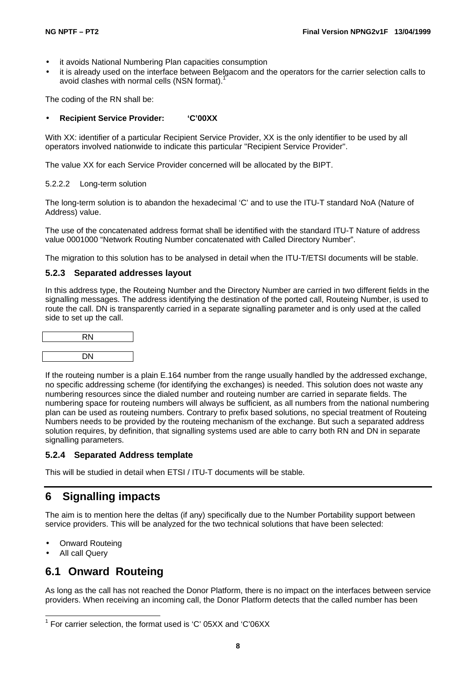- it avoids National Numbering Plan capacities consumption
- it is already used on the interface between Belgacom and the operators for the carrier selection calls to avoid clashes with normal cells (NSN format).<sup>1</sup>

The coding of the RN shall be:

#### • **Recipient Service Provider: 'C'00XX**

With XX: identifier of a particular Recipient Service Provider, XX is the only identifier to be used by all operators involved nationwide to indicate this particular "Recipient Service Provider".

The value XX for each Service Provider concerned will be allocated by the BIPT.

#### 5.2.2.2 Long-term solution

The long-term solution is to abandon the hexadecimal 'C' and to use the ITU-T standard NoA (Nature of Address) value.

The use of the concatenated address format shall be identified with the standard ITU-T Nature of address value 0001000 "Network Routing Number concatenated with Called Directory Number".

The migration to this solution has to be analysed in detail when the ITU-T/ETSI documents will be stable.

#### **5.2.3 Separated addresses layout**

In this address type, the Routeing Number and the Directory Number are carried in two different fields in the signalling messages. The address identifying the destination of the ported call, Routeing Number, is used to route the call. DN is transparently carried in a separate signalling parameter and is only used at the called side to set up the call.



If the routeing number is a plain E.164 number from the range usually handled by the addressed exchange, no specific addressing scheme (for identifying the exchanges) is needed. This solution does not waste any numbering resources since the dialed number and routeing number are carried in separate fields. The numbering space for routeing numbers will always be sufficient, as all numbers from the national numbering plan can be used as routeing numbers. Contrary to prefix based solutions, no special treatment of Routeing Numbers needs to be provided by the routeing mechanism of the exchange. But such a separated address solution requires, by definition, that signalling systems used are able to carry both RN and DN in separate signalling parameters.

#### **5.2.4 Separated Address template**

This will be studied in detail when ETSI / ITU-T documents will be stable.

# **6 Signalling impacts**

The aim is to mention here the deltas (if any) specifically due to the Number Portability support between service providers. This will be analyzed for the two technical solutions that have been selected:

- Onward Routeing
- All call Query

# **6.1 Onward Routeing**

As long as the call has not reached the Donor Platform, there is no impact on the interfaces between service providers. When receiving an incoming call, the Donor Platform detects that the called number has been

 1 For carrier selection, the format used is 'C' 05XX and 'C'06XX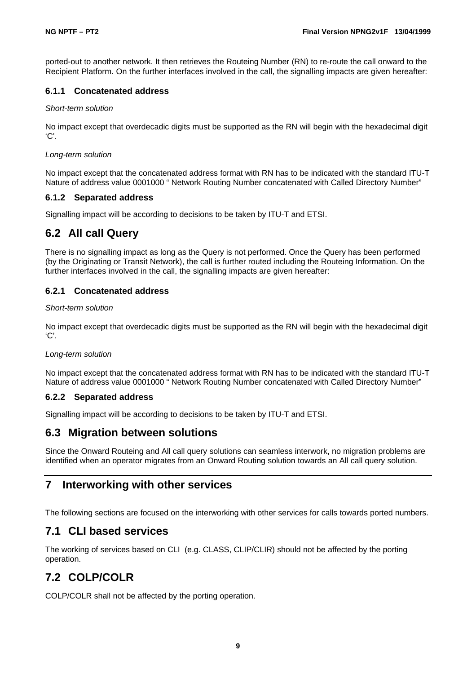ported-out to another network. It then retrieves the Routeing Number (RN) to re-route the call onward to the Recipient Platform. On the further interfaces involved in the call, the signalling impacts are given hereafter:

#### **6.1.1 Concatenated address**

*Short-term solution*

No impact except that overdecadic digits must be supported as the RN will begin with the hexadecimal digit 'C'.

*Long-term solution*

No impact except that the concatenated address format with RN has to be indicated with the standard ITU-T Nature of address value 0001000 " Network Routing Number concatenated with Called Directory Number"

#### **6.1.2 Separated address**

Signalling impact will be according to decisions to be taken by ITU-T and ETSI.

# **6.2 All call Query**

There is no signalling impact as long as the Query is not performed. Once the Query has been performed (by the Originating or Transit Network), the call is further routed including the Routeing Information. On the further interfaces involved in the call, the signalling impacts are given hereafter:

#### **6.2.1 Concatenated address**

#### *Short-term solution*

No impact except that overdecadic digits must be supported as the RN will begin with the hexadecimal digit 'C'.

#### *Long-term solution*

No impact except that the concatenated address format with RN has to be indicated with the standard ITU-T Nature of address value 0001000 " Network Routing Number concatenated with Called Directory Number"

#### **6.2.2 Separated address**

Signalling impact will be according to decisions to be taken by ITU-T and ETSI.

### **6.3 Migration between solutions**

Since the Onward Routeing and All call query solutions can seamless interwork, no migration problems are identified when an operator migrates from an Onward Routing solution towards an All call query solution.

### **7 Interworking with other services**

The following sections are focused on the interworking with other services for calls towards ported numbers.

### **7.1 CLI based services**

The working of services based on CLI (e.g. CLASS, CLIP/CLIR) should not be affected by the porting operation.

# **7.2 COLP/COLR**

COLP/COLR shall not be affected by the porting operation.